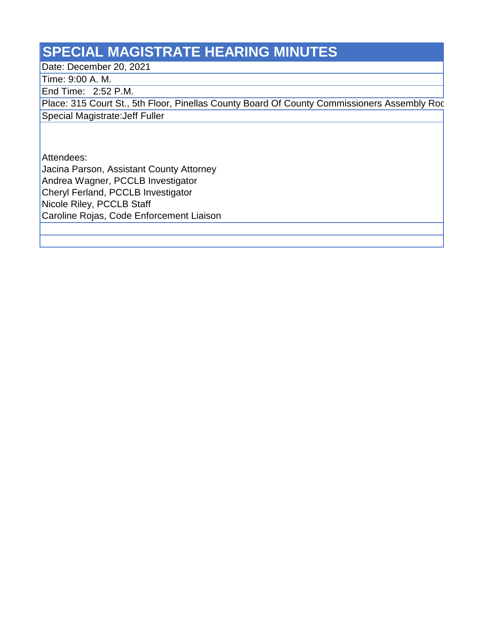## **SPECIAL MAGISTRATE HEARING MINUTES**

Date: December 20, 2021

Time: 9:00 A. M.

End Time: 2:52 P.M.

Place: 315 Court St., 5th Floor, Pinellas County Board Of County Commissioners Assembly Roc Special Magistrate:Jeff Fuller

Attendees:

Jacina Parson, Assistant County Attorney

Andrea Wagner, PCCLB Investigator

Cheryl Ferland, PCCLB Investigator

Nicole Riley, PCCLB Staff

Caroline Rojas, Code Enforcement Liaison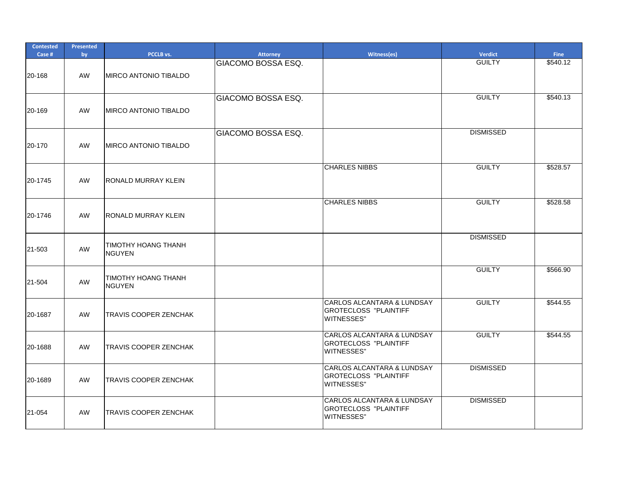| <b>Contested</b><br>Case # | <b>Presented</b><br>by | PCCLB vs.                                   | <b>Attorney</b>           | Witness(es)                                                                                 | Verdict          | <b>Fine</b> |
|----------------------------|------------------------|---------------------------------------------|---------------------------|---------------------------------------------------------------------------------------------|------------------|-------------|
| 20-168                     | AW                     | <b>MIRCO ANTONIO TIBALDO</b>                | <b>GIACOMO BOSSA ESQ.</b> |                                                                                             | <b>GUILTY</b>    | \$540.12    |
| 20-169                     | AW                     | MIRCO ANTONIO TIBALDO                       | GIACOMO BOSSA ESQ.        |                                                                                             | <b>GUILTY</b>    | \$540.13    |
| 20-170                     | AW                     | <b>MIRCO ANTONIO TIBALDO</b>                | <b>GIACOMO BOSSA ESQ.</b> |                                                                                             | <b>DISMISSED</b> |             |
| 20-1745                    | AW                     | <b>RONALD MURRAY KLEIN</b>                  |                           | <b>CHARLES NIBBS</b>                                                                        | <b>GUILTY</b>    | \$528.57    |
| 20-1746                    | AW                     | <b>RONALD MURRAY KLEIN</b>                  |                           | <b>CHARLES NIBBS</b>                                                                        | <b>GUILTY</b>    | \$528.58    |
| 21-503                     | AW                     | <b>TIMOTHY HOANG THANH</b><br><b>NGUYEN</b> |                           |                                                                                             | <b>DISMISSED</b> |             |
| 21-504                     | AW                     | <b>TIMOTHY HOANG THANH</b><br>NGUYEN        |                           |                                                                                             | <b>GUILTY</b>    | \$566.90    |
| 20-1687                    | AW                     | <b>TRAVIS COOPER ZENCHAK</b>                |                           | <b>CARLOS ALCANTARA &amp; LUNDSAY</b><br><b>IGROTECLOSS "PLAINTIFF</b><br><b>WITNESSES"</b> | <b>GUILTY</b>    | \$544.55    |
| 20-1688                    | AW                     | TRAVIS COOPER ZENCHAK                       |                           | CARLOS ALCANTARA & LUNDSAY<br><b>GROTECLOSS "PLAINTIFF</b><br><b>WITNESSES"</b>             | <b>GUILTY</b>    | \$544.55    |
| 20-1689                    | AW                     | <b>TRAVIS COOPER ZENCHAK</b>                |                           | CARLOS ALCANTARA & LUNDSAY<br><b>GROTECLOSS "PLAINTIFF</b><br><b>WITNESSES"</b>             | <b>DISMISSED</b> |             |
| 21-054                     | AW                     | TRAVIS COOPER ZENCHAK                       |                           | CARLOS ALCANTARA & LUNDSAY<br><b>GROTECLOSS "PLAINTIFF</b><br><b>WITNESSES"</b>             | <b>DISMISSED</b> |             |